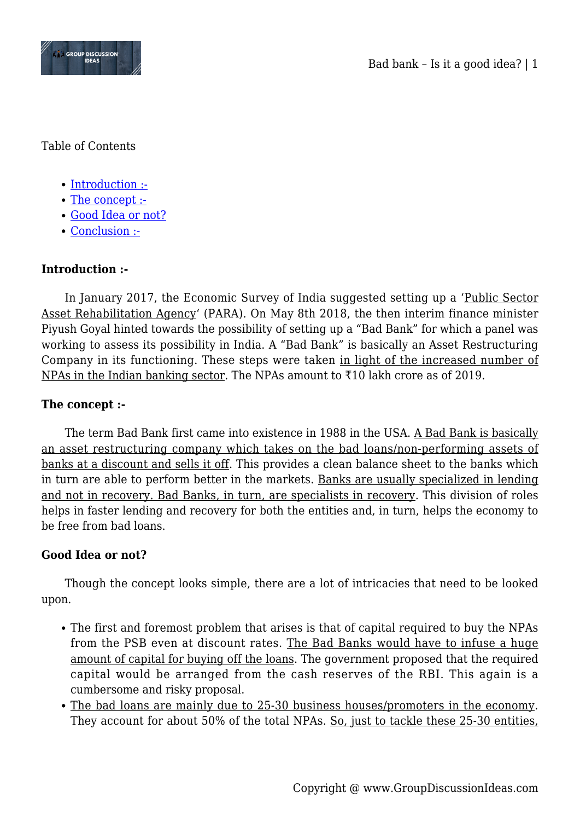

Table of Contents

- [Introduction :-](#page--1-0)
- [The concept :-](#page--1-0)
- [Good Idea or not?](#page--1-0)
- [Conclusion :-](#page--1-0)

# **Introduction :-**

In January 2017, the Economic Survey of India suggested setting up a 'Public Sector Asset Rehabilitation Agency' (PARA). On May 8th 2018, the then interim finance minister Piyush Goyal hinted towards the possibility of setting up a "Bad Bank" for which a panel was working to assess its possibility in India. A "Bad Bank" is basically an Asset Restructuring Company in its functioning. These steps were taken in light of the increased number of NPAs in the Indian banking sector. The NPAs amount to ₹10 lakh crore as of 2019.

## **The concept :-**

The term Bad Bank first came into existence in 1988 in the USA. A Bad Bank is basically an asset restructuring company which takes on the bad loans/non-performing assets of banks at a discount and sells it off. This provides a clean balance sheet to the banks which in turn are able to perform better in the markets. Banks are usually specialized in lending and not in recovery. Bad Banks, in turn, are specialists in recovery. This division of roles helps in faster lending and recovery for both the entities and, in turn, helps the economy to be free from bad loans.

## **Good Idea or not?**

Though the concept looks simple, there are a lot of intricacies that need to be looked upon.

- The first and foremost problem that arises is that of capital required to buy the NPAs from the PSB even at discount rates. The Bad Banks would have to infuse a huge amount of capital for buying off the loans. The government proposed that the required capital would be arranged from the cash reserves of the RBI. This again is a cumbersome and risky proposal.
- The bad loans are mainly due to 25-30 business houses/promoters in the economy. They account for about 50% of the total NPAs. So, just to tackle these 25-30 entities,